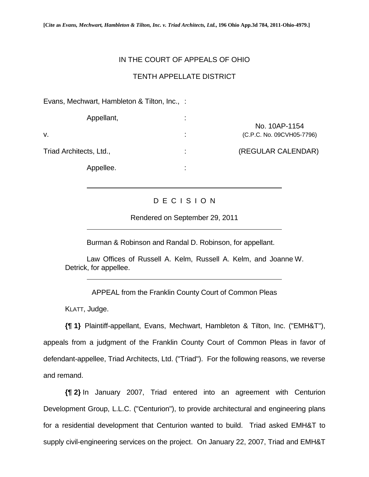## IN THE COURT OF APPEALS OF OHIO

## TENTH APPELLATE DISTRICT

Evans, Mechwart, Hambleton & Tilton, Inc., :

| Appellant,              |                     |                                            |
|-------------------------|---------------------|--------------------------------------------|
| ۷.                      | ٠<br>$\blacksquare$ | No. 10AP-1154<br>(C.P.C. No. 09CVH05-7796) |
| Triad Architects, Ltd., | ٠<br>$\blacksquare$ | (REGULAR CALENDAR)                         |
| Appellee.               | ٠                   |                                            |

## D E C I S I O N

Rendered on September 29, 2011

Burman & Robinson and Randal D. Robinson, for appellant.

Law Offices of Russell A. Kelm, Russell A. Kelm, and Joanne W. Detrick, for appellee.

APPEAL from the Franklin County Court of Common Pleas

KLATT, Judge.

 $\overline{a}$ 

 $\overline{a}$ 

 $\overline{a}$ 

**{¶ 1}** Plaintiff-appellant, Evans, Mechwart, Hambleton & Tilton, Inc. ("EMH&T"), appeals from a judgment of the Franklin County Court of Common Pleas in favor of defendant-appellee, Triad Architects, Ltd. ("Triad"). For the following reasons, we reverse and remand.

**{¶ 2}** In January 2007, Triad entered into an agreement with Centurion Development Group, L.L.C. ("Centurion"), to provide architectural and engineering plans for a residential development that Centurion wanted to build. Triad asked EMH&T to supply civil-engineering services on the project. On January 22, 2007, Triad and EMH&T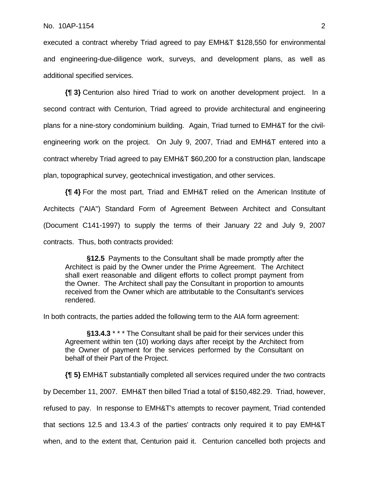executed a contract whereby Triad agreed to pay EMH&T \$128,550 for environmental and engineering-due-diligence work, surveys, and development plans, as well as additional specified services.

**{¶ 3}** Centurion also hired Triad to work on another development project. In a second contract with Centurion, Triad agreed to provide architectural and engineering plans for a nine-story condominium building. Again, Triad turned to EMH&T for the civilengineering work on the project. On July 9, 2007, Triad and EMH&T entered into a contract whereby Triad agreed to pay EMH&T \$60,200 for a construction plan, landscape plan, topographical survey, geotechnical investigation, and other services.

**{¶ 4}** For the most part, Triad and EMH&T relied on the American Institute of Architects ("AIA") Standard Form of Agreement Between Architect and Consultant (Document C141-1997) to supply the terms of their January 22 and July 9, 2007 contracts. Thus, both contracts provided:

**§12.5** Payments to the Consultant shall be made promptly after the Architect is paid by the Owner under the Prime Agreement. The Architect shall exert reasonable and diligent efforts to collect prompt payment from the Owner. The Architect shall pay the Consultant in proportion to amounts received from the Owner which are attributable to the Consultant's services rendered.

In both contracts, the parties added the following term to the AIA form agreement:

**§13.4.3** \* \* \* The Consultant shall be paid for their services under this Agreement within ten (10) working days after receipt by the Architect from the Owner of payment for the services performed by the Consultant on behalf of their Part of the Project.

**{¶ 5}** EMH&T substantially completed all services required under the two contracts by December 11, 2007. EMH&T then billed Triad a total of \$150,482.29. Triad, however, refused to pay. In response to EMH&T's attempts to recover payment, Triad contended that sections 12.5 and 13.4.3 of the parties' contracts only required it to pay EMH&T when, and to the extent that, Centurion paid it. Centurion cancelled both projects and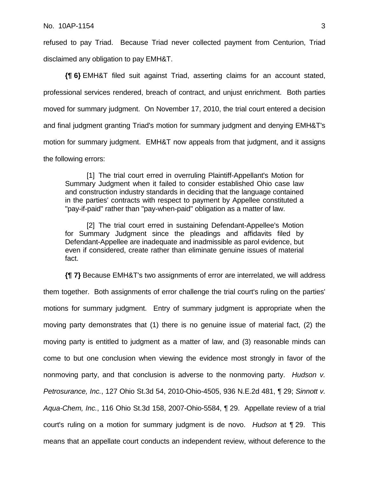refused to pay Triad. Because Triad never collected payment from Centurion, Triad disclaimed any obligation to pay EMH&T.

**{¶ 6}** EMH&T filed suit against Triad, asserting claims for an account stated, professional services rendered, breach of contract, and unjust enrichment. Both parties moved for summary judgment. On November 17, 2010, the trial court entered a decision and final judgment granting Triad's motion for summary judgment and denying EMH&T's motion for summary judgment. EMH&T now appeals from that judgment, and it assigns the following errors:

[1] The trial court erred in overruling Plaintiff-Appellant's Motion for Summary Judgment when it failed to consider established Ohio case law and construction industry standards in deciding that the language contained in the parties' contracts with respect to payment by Appellee constituted a "pay-if-paid" rather than "pay-when-paid" obligation as a matter of law.

[2] The trial court erred in sustaining Defendant-Appellee's Motion for Summary Judgment since the pleadings and affidavits filed by Defendant-Appellee are inadequate and inadmissible as parol evidence, but even if considered, create rather than eliminate genuine issues of material fact.

**{¶ 7}** Because EMH&T's two assignments of error are interrelated, we will address them together. Both assignments of error challenge the trial court's ruling on the parties' motions for summary judgment. Entry of summary judgment is appropriate when the moving party demonstrates that (1) there is no genuine issue of material fact, (2) the moving party is entitled to judgment as a matter of law, and (3) reasonable minds can come to but one conclusion when viewing the evidence most strongly in favor of the nonmoving party, and that conclusion is adverse to the nonmoving party. *Hudson v. Petrosurance, Inc.*, 127 Ohio St.3d 54, 2010-Ohio-4505, 936 N.E.2d 481, ¶ 29; *Sinnott v. Aqua-Chem, Inc.*, 116 Ohio St.3d 158, 2007-Ohio-5584, ¶ 29. Appellate review of a trial court's ruling on a motion for summary judgment is de novo. *Hudson* at ¶ 29. This means that an appellate court conducts an independent review, without deference to the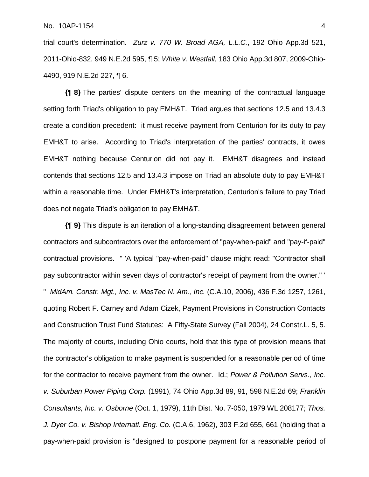trial court's determination. *Zurz v. 770 W. Broad AGA, L.L.C.*, 192 Ohio App.3d 521, 2011-Ohio-832, 949 N.E.2d 595, ¶ 5; *White v. Westfall*, 183 Ohio App.3d 807, 2009-Ohio-4490, 919 N.E.2d 227, ¶ 6.

**{¶ 8}** The parties' dispute centers on the meaning of the contractual language setting forth Triad's obligation to pay EMH&T. Triad argues that sections 12.5 and 13.4.3 create a condition precedent: it must receive payment from Centurion for its duty to pay EMH&T to arise. According to Triad's interpretation of the parties' contracts, it owes EMH&T nothing because Centurion did not pay it. EMH&T disagrees and instead contends that sections 12.5 and 13.4.3 impose on Triad an absolute duty to pay EMH&T within a reasonable time. Under EMH&T's interpretation, Centurion's failure to pay Triad does not negate Triad's obligation to pay EMH&T.

**{¶ 9}** This dispute is an iteration of a long-standing disagreement between general contractors and subcontractors over the enforcement of "pay-when-paid" and "pay-if-paid" contractual provisions. " 'A typical "pay-when-paid" clause might read: "Contractor shall pay subcontractor within seven days of contractor's receipt of payment from the owner." ' " *MidAm. Constr. Mgt., Inc. v. MasTec N. Am., Inc.* (C.A.10, 2006), 436 F.3d 1257, 1261, quoting Robert F. Carney and Adam Cizek, Payment Provisions in Construction Contacts and Construction Trust Fund Statutes: A Fifty-State Survey (Fall 2004), 24 Constr.L. 5, 5. The majority of courts, including Ohio courts, hold that this type of provision means that the contractor's obligation to make payment is suspended for a reasonable period of time for the contractor to receive payment from the owner. Id.; *Power & Pollution Servs., Inc. v. Suburban Power Piping Corp.* (1991), 74 Ohio App.3d 89, 91, 598 N.E.2d 69; *Franklin Consultants, Inc. v. Osborne* (Oct. 1, 1979), 11th Dist. No. 7-050, 1979 WL 208177; *Thos. J. Dyer Co. v. Bishop Internatl. Eng. Co.* (C.A.6, 1962), 303 F.2d 655, 661 (holding that a pay-when-paid provision is "designed to postpone payment for a reasonable period of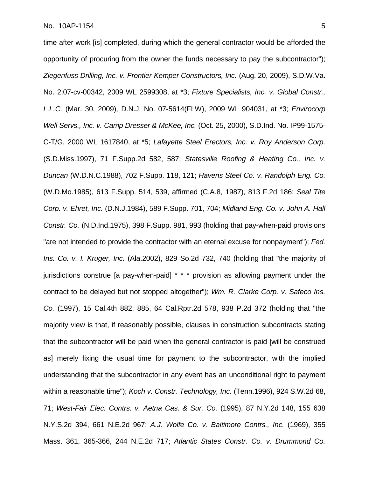time after work [is] completed, during which the general contractor would be afforded the opportunity of procuring from the owner the funds necessary to pay the subcontractor"); *Ziegenfuss Drilling, Inc. v. Frontier-Kemper Constructors, Inc.* (Aug. 20, 2009), S.D.W.Va. No. 2:07-cv-00342, 2009 WL 2599308, at \*3; *Fixture Specialists, Inc. v. Global Constr., L.L.C.* (Mar. 30, 2009), D.N.J. No. 07-5614(FLW), 2009 WL 904031, at \*3; *Envirocorp Well Servs., Inc. v. Camp Dresser & McKee, Inc.* (Oct. 25, 2000), S.D.Ind. No. IP99-1575- C-T/G, 2000 WL 1617840, at \*5; *Lafayette Steel Erectors, Inc. v. Roy Anderson Corp.*  (S.D.Miss.1997), 71 F.Supp.2d 582, 587; *Statesville Roofing & Heating Co., Inc. v. Duncan* (W.D.N.C.1988), 702 F.Supp. 118, 121; *Havens Steel Co. v. Randolph Eng. Co.*  (W.D.Mo.1985), 613 F.Supp. 514, 539, affirmed (C.A.8, 1987), 813 F.2d 186; *Seal Tite Corp. v. Ehret, Inc.* (D.N.J.1984), 589 F.Supp. 701, 704; *Midland Eng. Co. v. John A. Hall Constr. Co.* (N.D.Ind.1975), 398 F.Supp. 981, 993 (holding that pay-when-paid provisions "are not intended to provide the contractor with an eternal excuse for nonpayment"); *Fed. Ins. Co. v. I. Kruger, Inc.* (Ala.2002), 829 So.2d 732, 740 (holding that "the majority of jurisdictions construe [a pay-when-paid] \* \* \* provision as allowing payment under the contract to be delayed but not stopped altogether"); *Wm. R. Clarke Corp. v. Safeco Ins. Co.* (1997), 15 Cal.4th 882, 885, 64 Cal.Rptr.2d 578, 938 P.2d 372 (holding that "the majority view is that, if reasonably possible, clauses in construction subcontracts stating that the subcontractor will be paid when the general contractor is paid [will be construed as] merely fixing the usual time for payment to the subcontractor, with the implied understanding that the subcontractor in any event has an unconditional right to payment within a reasonable time"); *Koch v. Constr. Technology, Inc.* (Tenn.1996), 924 S.W.2d 68, 71; *West-Fair Elec. Contrs. v. Aetna Cas. & Sur. Co.* (1995), 87 N.Y.2d 148, 155 638 N.Y.S.2d 394, 661 N.E.2d 967; *A.J. Wolfe Co. v. Baltimore Contrs., Inc.* (1969), 355 Mass. 361, 365-366, 244 N.E.2d 717; *Atlantic States Constr. Co. v. Drummond Co.*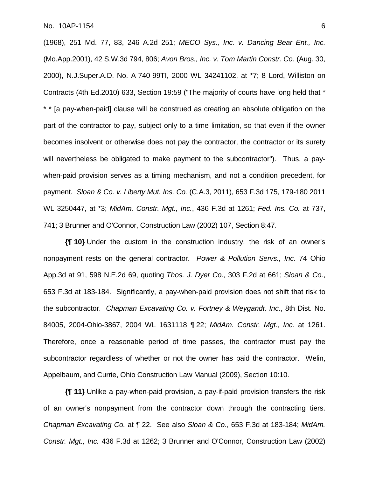(1968), 251 Md. 77, 83, 246 A.2d 251; *MECO Sys., Inc. v. Dancing Bear Ent., Inc.*  (Mo.App.2001), 42 S.W.3d 794, 806; *Avon Bros., Inc. v. Tom Martin Constr. Co.* (Aug. 30, 2000), N.J.Super.A.D. No. A-740-99TI, 2000 WL 34241102, at \*7; 8 Lord, Williston on Contracts (4th Ed.2010) 633, Section 19:59 ("The majority of courts have long held that \* \* \* [a pay-when-paid] clause will be construed as creating an absolute obligation on the part of the contractor to pay, subject only to a time limitation, so that even if the owner becomes insolvent or otherwise does not pay the contractor, the contractor or its surety will nevertheless be obligated to make payment to the subcontractor"). Thus, a paywhen-paid provision serves as a timing mechanism, and not a condition precedent, for payment. *Sloan & Co. v. Liberty Mut. Ins. Co.* (C.A.3, 2011), 653 F.3d 175, 179-180 2011 WL 3250447, at \*3; *MidAm. Constr. Mgt., Inc.*, 436 F.3d at 1261; *Fed. Ins. Co.* at 737, 741; 3 Brunner and O'Connor, Construction Law (2002) 107, Section 8:47.

**{¶ 10}** Under the custom in the construction industry, the risk of an owner's nonpayment rests on the general contractor. *Power & Pollution Servs., Inc.* 74 Ohio App.3d at 91, 598 N.E.2d 69, quoting *Thos. J. Dyer Co.,* 303 F.2d at 661; *Sloan & Co.*, 653 F.3d at 183-184. Significantly, a pay-when-paid provision does not shift that risk to the subcontractor. *Chapman Excavating Co. v. Fortney & Weygandt, Inc.*, 8th Dist. No. 84005, 2004-Ohio-3867, 2004 WL 1631118 ¶ 22; *MidAm. Constr. Mgt., Inc.* at 1261. Therefore, once a reasonable period of time passes, the contractor must pay the subcontractor regardless of whether or not the owner has paid the contractor. Welin, Appelbaum, and Currie, Ohio Construction Law Manual (2009), Section 10:10.

**{¶ 11}** Unlike a pay-when-paid provision, a pay-if-paid provision transfers the risk of an owner's nonpayment from the contractor down through the contracting tiers. *Chapman Excavating Co.* at ¶ 22. See also *Sloan & Co.*, 653 F.3d at 183-184; *MidAm. Constr. Mgt., Inc.* 436 F.3d at 1262; 3 Brunner and O'Connor, Construction Law (2002)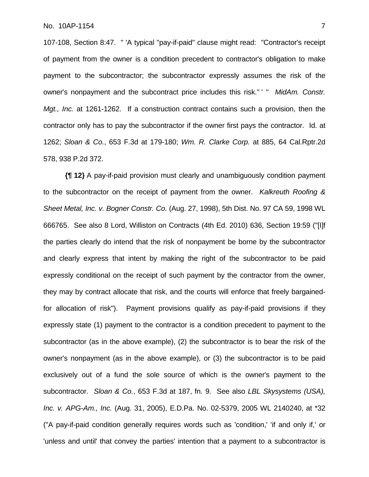107-108, Section 8:47. " 'A typical "pay-if-paid" clause might read: "Contractor's receipt of payment from the owner is a condition precedent to contractor's obligation to make payment to the subcontractor; the subcontractor expressly assumes the risk of the owner's nonpayment and the subcontract price includes this risk." ' " *MidAm. Constr. Mgt., Inc.* at 1261-1262. If a construction contract contains such a provision, then the contractor only has to pay the subcontractor if the owner first pays the contractor. Id. at 1262; *Sloan & Co.*, 653 F.3d at 179-180; *Wm. R. Clarke Corp.* at 885, 64 Cal.Rptr.2d 578, 938 P.2d 372.

**{¶ 12}** A pay-if-paid provision must clearly and unambiguously condition payment to the subcontractor on the receipt of payment from the owner. *Kalkreuth Roofing & Sheet Metal, Inc. v. Bogner Constr. Co.* (Aug. 27, 1998), 5th Dist. No. 97 CA 59, 1998 WL 666765. See also 8 Lord, Williston on Contracts (4th Ed. 2010) 636, Section 19:59 ("[I]f the parties clearly do intend that the risk of nonpayment be borne by the subcontractor and clearly express that intent by making the right of the subcontractor to be paid expressly conditional on the receipt of such payment by the contractor from the owner, they may by contract allocate that risk, and the courts will enforce that freely bargainedfor allocation of risk"). Payment provisions qualify as pay-if-paid provisions if they expressly state (1) payment to the contractor is a condition precedent to payment to the subcontractor (as in the above example), (2) the subcontractor is to bear the risk of the owner's nonpayment (as in the above example), or (3) the subcontractor is to be paid exclusively out of a fund the sole source of which is the owner's payment to the subcontractor. *Sloan & Co.*, 653 F.3d at 187, fn. 9. See also *LBL Skysystems (USA), Inc. v. APG-Am., Inc.* (Aug. 31, 2005), E.D.Pa. No. 02-5379, 2005 WL 2140240, at \*32 ("A pay-if-paid condition generally requires words such as 'condition,' 'if and only if,' or 'unless and until' that convey the parties' intention that a payment to a subcontractor is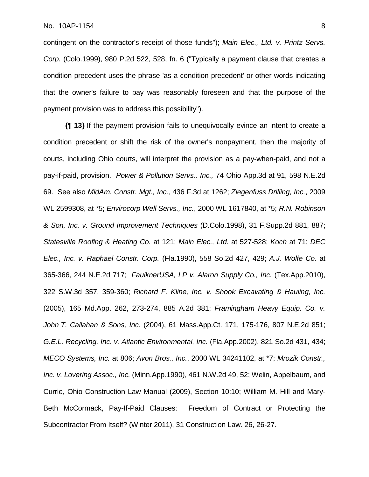contingent on the contractor's receipt of those funds"); *Main Elec., Ltd. v. Printz Servs. Corp.* (Colo.1999), 980 P.2d 522, 528, fn. 6 ("Typically a payment clause that creates a condition precedent uses the phrase 'as a condition precedent' or other words indicating that the owner's failure to pay was reasonably foreseen and that the purpose of the payment provision was to address this possibility").

**{¶ 13}** If the payment provision fails to unequivocally evince an intent to create a condition precedent or shift the risk of the owner's nonpayment, then the majority of courts, including Ohio courts, will interpret the provision as a pay-when-paid, and not a pay-if-paid, provision. *Power & Pollution Servs., Inc.,* 74 Ohio App.3d at 91, 598 N.E.2d 69. See also *MidAm. Constr. Mgt., Inc.,* 436 F.3d at 1262; *Ziegenfuss Drilling, Inc.*, 2009 WL 2599308, at \*5; *Envirocorp Well Servs., Inc.*, 2000 WL 1617840, at \*5; *R.N. Robinson & Son, Inc. v. Ground Improvement Techniques* (D.Colo.1998), 31 F.Supp.2d 881, 887; *Statesville Roofing & Heating Co.* at 121; *Main Elec., Ltd.* at 527-528; *Koch* at 71; *DEC Elec., Inc. v. Raphael Constr. Corp.* (Fla.1990), 558 So.2d 427, 429; *A.J. Wolfe Co.* at 365-366, 244 N.E.2d 717; *FaulknerUSA, LP v. Alaron Supply Co., Inc.* (Tex.App.2010), 322 S.W.3d 357, 359-360; *Richard F. Kline, Inc. v. Shook Excavating & Hauling, Inc.* (2005), 165 Md.App. 262, 273-274, 885 A.2d 381; *Framingham Heavy Equip. Co. v. John T. Callahan & Sons, Inc.* (2004), 61 Mass.App.Ct. 171, 175-176, 807 N.E.2d 851; *G.E.L. Recycling, Inc. v. Atlantic Environmental, Inc.* (Fla.App.2002), 821 So.2d 431, 434; *MECO Systems, Inc.* at 806; *Avon Bros., Inc.*, 2000 WL 34241102, at \*7; *Mrozik Constr., Inc. v. Lovering Assoc., Inc.* (Minn.App.1990), 461 N.W.2d 49, 52; Welin, Appelbaum, and Currie, Ohio Construction Law Manual (2009), Section 10:10; William M. Hill and Mary-Beth McCormack, Pay-If-Paid Clauses: Freedom of Contract or Protecting the Subcontractor From Itself? (Winter 2011), 31 Construction Law. 26, 26-27.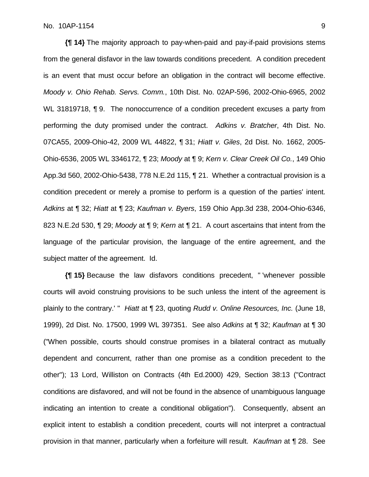**{¶ 14}** The majority approach to pay-when-paid and pay-if-paid provisions stems from the general disfavor in the law towards conditions precedent. A condition precedent is an event that must occur before an obligation in the contract will become effective. *Moody v. Ohio Rehab. Servs. Comm.*, 10th Dist. No. 02AP-596, 2002-Ohio-6965, 2002 WL 31819718, 19. The nonoccurrence of a condition precedent excuses a party from performing the duty promised under the contract. *Adkins v. Bratcher*, 4th Dist. No. 07CA55, 2009-Ohio-42, 2009 WL 44822, ¶ 31; *Hiatt v. Giles*, 2d Dist. No. 1662, 2005- Ohio-6536, 2005 WL 3346172, ¶ 23; *Moody* at ¶ 9; *Kern v. Clear Creek Oil Co.*, 149 Ohio App.3d 560, 2002-Ohio-5438, 778 N.E.2d 115, ¶ 21. Whether a contractual provision is a condition precedent or merely a promise to perform is a question of the parties' intent. *Adkins* at ¶ 32; *Hiatt* at ¶ 23; *Kaufman v. Byers*, 159 Ohio App.3d 238, 2004-Ohio-6346, 823 N.E.2d 530, ¶ 29; *Moody* at ¶ 9; *Kern* at ¶ 21. A court ascertains that intent from the language of the particular provision, the language of the entire agreement, and the subject matter of the agreement. Id.

**{¶ 15}** Because the law disfavors conditions precedent, " 'whenever possible courts will avoid construing provisions to be such unless the intent of the agreement is plainly to the contrary.' " *Hiatt* at ¶ 23, quoting *Rudd v. Online Resources, Inc.* (June 18, 1999), 2d Dist. No. 17500, 1999 WL 397351. See also *Adkins* at ¶ 32; *Kaufman* at ¶ 30 ("When possible, courts should construe promises in a bilateral contract as mutually dependent and concurrent, rather than one promise as a condition precedent to the other"); 13 Lord, Williston on Contracts (4th Ed.2000) 429, Section 38:13 ("Contract conditions are disfavored, and will not be found in the absence of unambiguous language indicating an intention to create a conditional obligation"). Consequently, absent an explicit intent to establish a condition precedent, courts will not interpret a contractual provision in that manner, particularly when a forfeiture will result. *Kaufman* at ¶ 28. See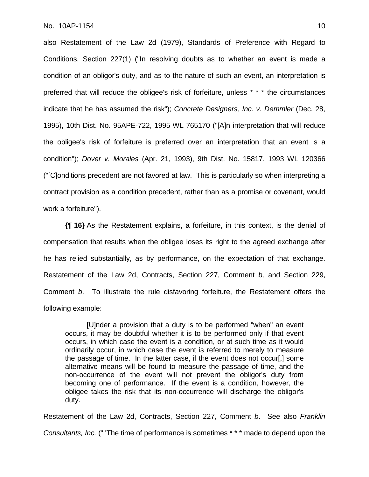also Restatement of the Law 2d (1979), Standards of Preference with Regard to Conditions, Section 227(1) ("In resolving doubts as to whether an event is made a condition of an obligor's duty, and as to the nature of such an event, an interpretation is preferred that will reduce the obligee's risk of forfeiture, unless \* \* \* the circumstances indicate that he has assumed the risk"); *Concrete Designers, Inc. v. Demmler* (Dec. 28, 1995), 10th Dist. No. 95APE-722, 1995 WL 765170 ("[A]n interpretation that will reduce the obligee's risk of forfeiture is preferred over an interpretation that an event is a condition"); *Dover v. Morales* (Apr. 21, 1993), 9th Dist. No. 15817, 1993 WL 120366 ("[C]onditions precedent are not favored at law. This is particularly so when interpreting a contract provision as a condition precedent, rather than as a promise or covenant, would work a forfeiture").

**{¶ 16}** As the Restatement explains, a forfeiture, in this context, is the denial of compensation that results when the obligee loses its right to the agreed exchange after he has relied substantially, as by performance, on the expectation of that exchange. Restatement of the Law 2d, Contracts, Section 227, Comment *b,* and Section 229, Comment *b*. To illustrate the rule disfavoring forfeiture, the Restatement offers the following example:

[U]nder a provision that a duty is to be performed "when" an event occurs, it may be doubtful whether it is to be performed only if that event occurs, in which case the event is a condition, or at such time as it would ordinarily occur, in which case the event is referred to merely to measure the passage of time. In the latter case, if the event does not occur[,] some alternative means will be found to measure the passage of time, and the non-occurrence of the event will not prevent the obligor's duty from becoming one of performance. If the event is a condition, however, the obligee takes the risk that its non-occurrence will discharge the obligor's duty.

Restatement of the Law 2d, Contracts, Section 227, Comment *b*. See also *Franklin Consultants, Inc.* (" 'The time of performance is sometimes \* \* \* made to depend upon the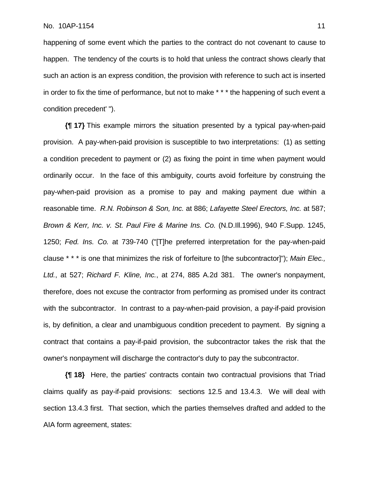happening of some event which the parties to the contract do not covenant to cause to happen. The tendency of the courts is to hold that unless the contract shows clearly that such an action is an express condition, the provision with reference to such act is inserted in order to fix the time of performance, but not to make \* \* \* the happening of such event a condition precedent' ").

**{¶ 17}** This example mirrors the situation presented by a typical pay-when-paid provision. A pay-when-paid provision is susceptible to two interpretations: (1) as setting a condition precedent to payment or (2) as fixing the point in time when payment would ordinarily occur. In the face of this ambiguity, courts avoid forfeiture by construing the pay-when-paid provision as a promise to pay and making payment due within a reasonable time. *R.N. Robinson & Son, Inc.* at 886; *Lafayette Steel Erectors, Inc.* at 587; *Brown & Kerr, Inc. v. St. Paul Fire & Marine Ins. Co.* (N.D.Ill.1996), 940 F.Supp. 1245, 1250; *Fed. Ins. Co.* at 739-740 ("[T]he preferred interpretation for the pay-when-paid clause \* \* \* is one that minimizes the risk of forfeiture to [the subcontractor]"); *Main Elec., Ltd.*, at 527; *Richard F. Kline, Inc.*, at 274, 885 A.2d 381. The owner's nonpayment, therefore, does not excuse the contractor from performing as promised under its contract with the subcontractor. In contrast to a pay-when-paid provision, a pay-if-paid provision is, by definition, a clear and unambiguous condition precedent to payment. By signing a contract that contains a pay-if-paid provision, the subcontractor takes the risk that the owner's nonpayment will discharge the contractor's duty to pay the subcontractor.

**{¶ 18}** Here, the parties' contracts contain two contractual provisions that Triad claims qualify as pay-if-paid provisions: sections 12.5 and 13.4.3. We will deal with section 13.4.3 first. That section, which the parties themselves drafted and added to the AIA form agreement, states: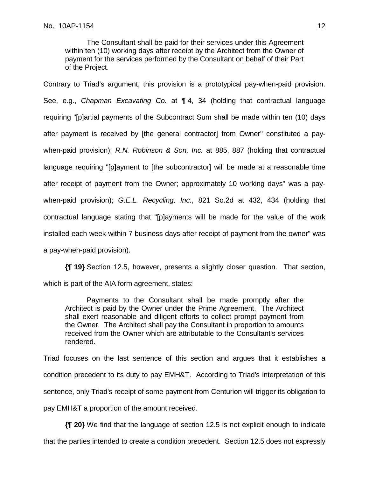The Consultant shall be paid for their services under this Agreement within ten (10) working days after receipt by the Architect from the Owner of payment for the services performed by the Consultant on behalf of their Part of the Project.

Contrary to Triad's argument, this provision is a prototypical pay-when-paid provision. See, e.g., *Chapman Excavating Co.* at ¶ 4, 34 (holding that contractual language requiring "[p]artial payments of the Subcontract Sum shall be made within ten (10) days after payment is received by [the general contractor] from Owner" constituted a paywhen-paid provision); *R.N. Robinson & Son, Inc.* at 885, 887 (holding that contractual language requiring "[p]ayment to [the subcontractor] will be made at a reasonable time after receipt of payment from the Owner; approximately 10 working days" was a paywhen-paid provision); *G.E.L. Recycling, Inc.*, 821 So.2d at 432, 434 (holding that contractual language stating that "[p]ayments will be made for the value of the work installed each week within 7 business days after receipt of payment from the owner" was a pay-when-paid provision).

**{¶ 19}** Section 12.5, however, presents a slightly closer question. That section, which is part of the AIA form agreement, states:

Payments to the Consultant shall be made promptly after the Architect is paid by the Owner under the Prime Agreement. The Architect shall exert reasonable and diligent efforts to collect prompt payment from the Owner. The Architect shall pay the Consultant in proportion to amounts received from the Owner which are attributable to the Consultant's services rendered.

Triad focuses on the last sentence of this section and argues that it establishes a condition precedent to its duty to pay EMH&T. According to Triad's interpretation of this sentence, only Triad's receipt of some payment from Centurion will trigger its obligation to pay EMH&T a proportion of the amount received.

**{¶ 20}** We find that the language of section 12.5 is not explicit enough to indicate that the parties intended to create a condition precedent. Section 12.5 does not expressly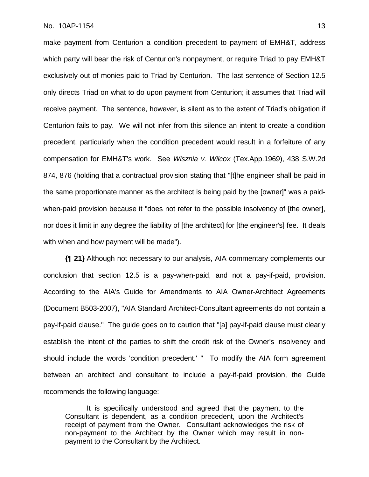make payment from Centurion a condition precedent to payment of EMH&T, address which party will bear the risk of Centurion's nonpayment, or require Triad to pay EMH&T exclusively out of monies paid to Triad by Centurion. The last sentence of Section 12.5 only directs Triad on what to do upon payment from Centurion; it assumes that Triad will receive payment. The sentence, however, is silent as to the extent of Triad's obligation if Centurion fails to pay. We will not infer from this silence an intent to create a condition precedent, particularly when the condition precedent would result in a forfeiture of any compensation for EMH&T's work. See *Wisznia v. Wilcox* (Tex.App.1969), 438 S.W.2d 874, 876 (holding that a contractual provision stating that "[t]he engineer shall be paid in the same proportionate manner as the architect is being paid by the [owner]" was a paidwhen-paid provision because it "does not refer to the possible insolvency of [the owner], nor does it limit in any degree the liability of [the architect] for [the engineer's] fee. It deals with when and how payment will be made").

**{¶ 21}** Although not necessary to our analysis, AIA commentary complements our conclusion that section 12.5 is a pay-when-paid, and not a pay-if-paid, provision. According to the AIA's Guide for Amendments to AIA Owner-Architect Agreements (Document B503-2007), "AIA Standard Architect-Consultant agreements do not contain a pay-if-paid clause." The guide goes on to caution that "[a] pay-if-paid clause must clearly establish the intent of the parties to shift the credit risk of the Owner's insolvency and should include the words 'condition precedent.' " To modify the AIA form agreement between an architect and consultant to include a pay-if-paid provision, the Guide recommends the following language:

It is specifically understood and agreed that the payment to the Consultant is dependent, as a condition precedent, upon the Architect's receipt of payment from the Owner. Consultant acknowledges the risk of non-payment to the Architect by the Owner which may result in nonpayment to the Consultant by the Architect.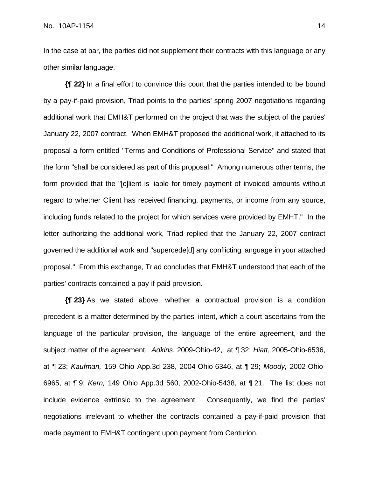In the case at bar, the parties did not supplement their contracts with this language or any other similar language.

**{¶ 22}** In a final effort to convince this court that the parties intended to be bound by a pay-if-paid provision, Triad points to the parties' spring 2007 negotiations regarding additional work that EMH&T performed on the project that was the subject of the parties' January 22, 2007 contract. When EMH&T proposed the additional work, it attached to its proposal a form entitled "Terms and Conditions of Professional Service" and stated that the form "shall be considered as part of this proposal." Among numerous other terms, the form provided that the "[c]lient is liable for timely payment of invoiced amounts without regard to whether Client has received financing, payments, or income from any source, including funds related to the project for which services were provided by EMHT." In the letter authorizing the additional work, Triad replied that the January 22, 2007 contract governed the additional work and "supercede[d] any conflicting language in your attached proposal." From this exchange, Triad concludes that EMH&T understood that each of the parties' contracts contained a pay-if-paid provision.

**{¶ 23}** As we stated above, whether a contractual provision is a condition precedent is a matter determined by the parties' intent, which a court ascertains from the language of the particular provision, the language of the entire agreement, and the subject matter of the agreement. *Adkins*, 2009-Ohio-42, at ¶ 32; *Hiatt*, 2005-Ohio-6536, at ¶ 23; *Kaufman,* 159 Ohio App.3d 238, 2004-Ohio-6346, at ¶ 29; *Moody,* 2002-Ohio-6965, at ¶ 9; *Kern,* 149 Ohio App.3d 560, 2002-Ohio-5438, at ¶ 21. The list does not include evidence extrinsic to the agreement. Consequently, we find the parties' negotiations irrelevant to whether the contracts contained a pay-if-paid provision that made payment to EMH&T contingent upon payment from Centurion.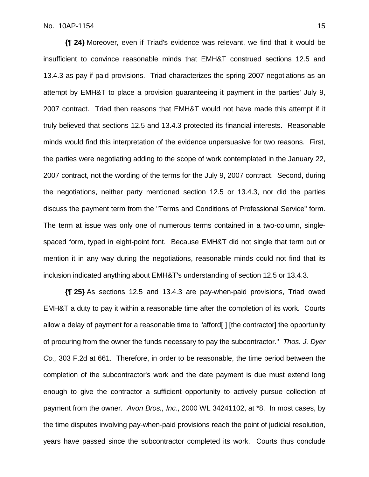**{¶ 24}** Moreover, even if Triad's evidence was relevant, we find that it would be insufficient to convince reasonable minds that EMH&T construed sections 12.5 and 13.4.3 as pay-if-paid provisions. Triad characterizes the spring 2007 negotiations as an attempt by EMH&T to place a provision guaranteeing it payment in the parties' July 9, 2007 contract. Triad then reasons that EMH&T would not have made this attempt if it truly believed that sections 12.5 and 13.4.3 protected its financial interests. Reasonable minds would find this interpretation of the evidence unpersuasive for two reasons. First, the parties were negotiating adding to the scope of work contemplated in the January 22, 2007 contract, not the wording of the terms for the July 9, 2007 contract. Second, during the negotiations, neither party mentioned section 12.5 or 13.4.3, nor did the parties discuss the payment term from the "Terms and Conditions of Professional Service" form. The term at issue was only one of numerous terms contained in a two-column, singlespaced form, typed in eight-point font. Because EMH&T did not single that term out or mention it in any way during the negotiations, reasonable minds could not find that its inclusion indicated anything about EMH&T's understanding of section 12.5 or 13.4.3.

**{¶ 25}** As sections 12.5 and 13.4.3 are pay-when-paid provisions, Triad owed EMH&T a duty to pay it within a reasonable time after the completion of its work. Courts allow a delay of payment for a reasonable time to "afford[] [the contractor] the opportunity of procuring from the owner the funds necessary to pay the subcontractor." *Thos. J. Dyer Co.,* 303 F.2d at 661. Therefore, in order to be reasonable, the time period between the completion of the subcontractor's work and the date payment is due must extend long enough to give the contractor a sufficient opportunity to actively pursue collection of payment from the owner. *Avon Bros., Inc.*, 2000 WL 34241102, at \*8. In most cases, by the time disputes involving pay-when-paid provisions reach the point of judicial resolution, years have passed since the subcontractor completed its work. Courts thus conclude